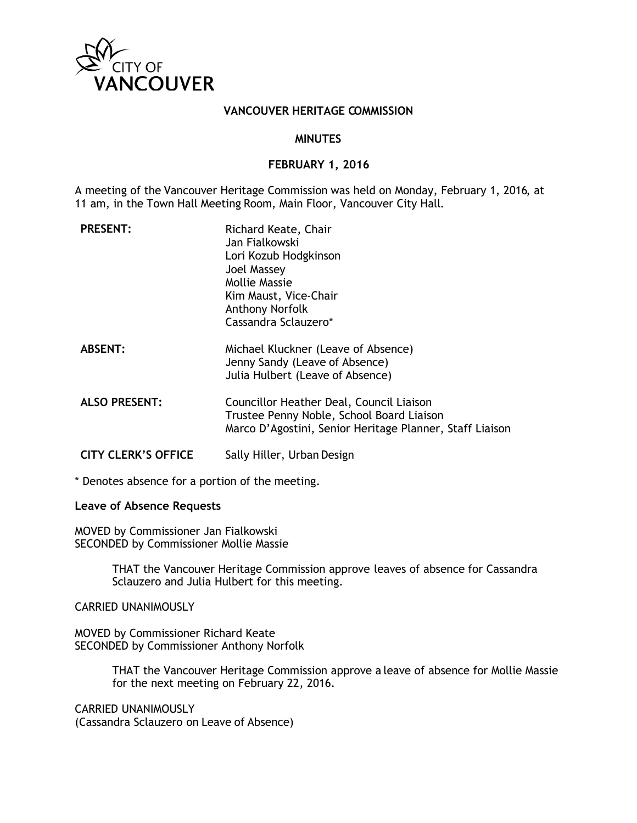

### **VANCOUVER HERITAGE COMMISSION**

#### **MINUTES**

#### **FEBRUARY 1, 2016**

A meeting of the Vancouver Heritage Commission was held on Monday, February 1, 2016, at 11 am, in the Town Hall Meeting Room, Main Floor, Vancouver City Hall.

| <b>PRESENT:</b>            | Richard Keate, Chair<br>Jan Fialkowski<br>Lori Kozub Hodgkinson<br>Joel Massey<br><b>Mollie Massie</b><br>Kim Maust, Vice-Chair<br>Anthony Norfolk<br>Cassandra Sclauzero* |
|----------------------------|----------------------------------------------------------------------------------------------------------------------------------------------------------------------------|
| <b>ABSENT:</b>             | Michael Kluckner (Leave of Absence)<br>Jenny Sandy (Leave of Absence)<br>Julia Hulbert (Leave of Absence)                                                                  |
| <b>ALSO PRESENT:</b>       | Councillor Heather Deal, Council Liaison<br>Trustee Penny Noble, School Board Liaison<br>Marco D'Agostini, Senior Heritage Planner, Staff Liaison                          |
| <b>CITY CLERK'S OFFICE</b> | Sally Hiller, Urban Design                                                                                                                                                 |

\* Denotes absence for a portion of the meeting.

#### **Leave of Absence Requests**

MOVED by Commissioner Jan Fialkowski SECONDED by Commissioner Mollie Massie

> THAT the Vancouver Heritage Commission approve leaves of absence for Cassandra Sclauzero and Julia Hulbert for this meeting.

CARRIED UNANIMOUSLY

MOVED by Commissioner Richard Keate SECONDED by Commissioner Anthony Norfolk

> THAT the Vancouver Heritage Commission approve a leave of absence for Mollie Massie for the next meeting on February 22, 2016.

CARRIED UNANIMOUSLY (Cassandra Sclauzero on Leave of Absence)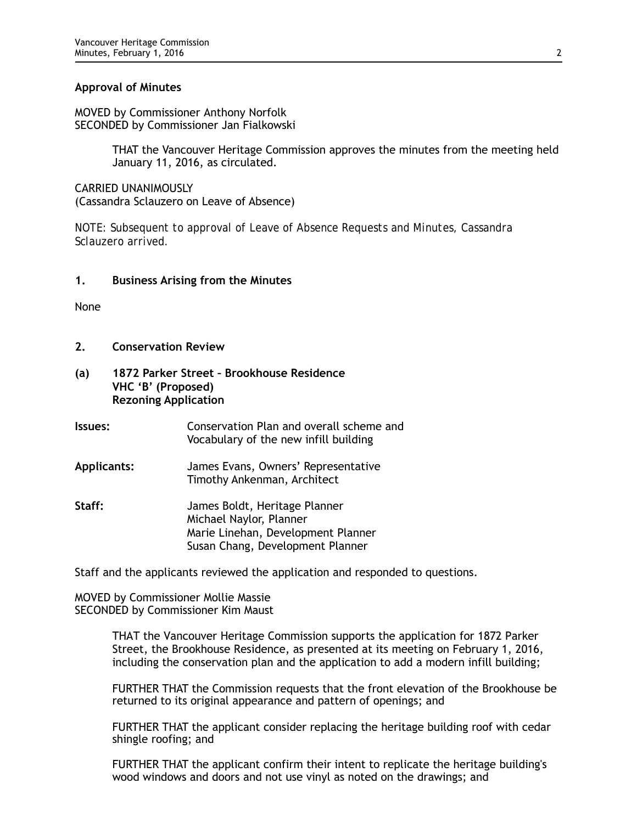#### **Approval of Minutes**

MOVED by Commissioner Anthony Norfolk SECONDED by Commissioner Jan Fialkowski

> THAT the Vancouver Heritage Commission approves the minutes from the meeting held January 11, 2016, as circulated.

CARRIED UNANIMOUSLY (Cassandra Sclauzero on Leave of Absence)

*NOTE: Subsequent to approval of Leave of Absence Requests and Minutes, Cassandra Sclauzero arrived.*

#### **1. Business Arising from the Minutes**

None

- **2. Conservation Review**
- **(a) 1872 Parker Street Brookhouse Residence VHC 'B' (Proposed) Rezoning Application**
- **Issues:** Conservation Plan and overall scheme and Vocabulary of the new infill building
- **Applicants:** James Evans, Owners' Representative Timothy Ankenman, Architect
- **Staff:** James Boldt, Heritage Planner Michael Naylor, Planner Marie Linehan, Development Planner Susan Chang, Development Planner

Staff and the applicants reviewed the application and responded to questions.

MOVED by Commissioner Mollie Massie SECONDED by Commissioner Kim Maust

> THAT the Vancouver Heritage Commission supports the application for 1872 Parker Street, the Brookhouse Residence, as presented at its meeting on February 1, 2016, including the conservation plan and the application to add a modern infill building;

FURTHER THAT the Commission requests that the front elevation of the Brookhouse be returned to its original appearance and pattern of openings; and

FURTHER THAT the applicant consider replacing the heritage building roof with cedar shingle roofing; and

FURTHER THAT the applicant confirm their intent to replicate the heritage building's wood windows and doors and not use vinyl as noted on the drawings; and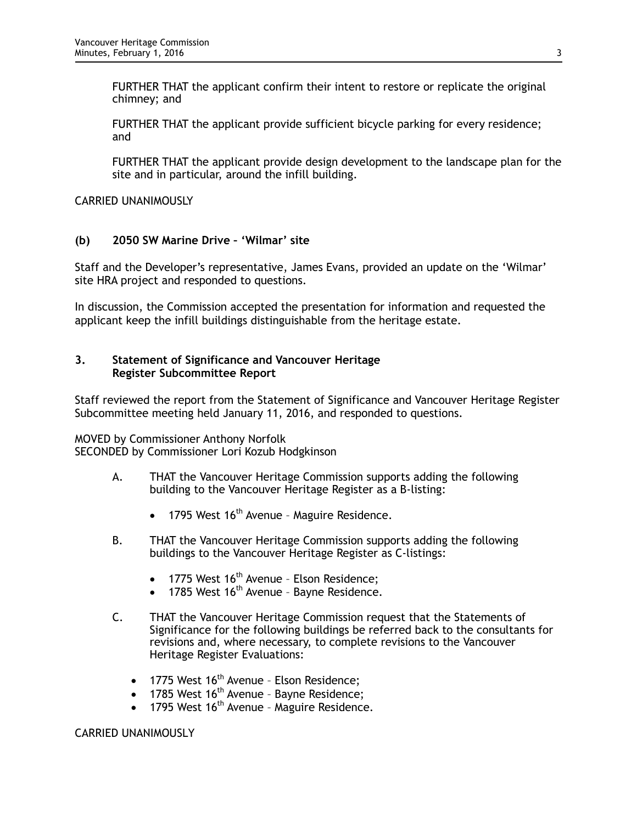FURTHER THAT the applicant confirm their intent to restore or replicate the original chimney; and

FURTHER THAT the applicant provide sufficient bicycle parking for every residence; and

FURTHER THAT the applicant provide design development to the landscape plan for the site and in particular, around the infill building.

CARRIED UNANIMOUSLY

## **(b) 2050 SW Marine Drive – 'Wilmar' site**

Staff and the Developer's representative, James Evans, provided an update on the 'Wilmar' site HRA project and responded to questions.

In discussion, the Commission accepted the presentation for information and requested the applicant keep the infill buildings distinguishable from the heritage estate.

### **3. Statement of Significance and Vancouver Heritage Register Subcommittee Report**

Staff reviewed the report from the Statement of Significance and Vancouver Heritage Register Subcommittee meeting held January 11, 2016, and responded to questions.

MOVED by Commissioner Anthony Norfolk SECONDED by Commissioner Lori Kozub Hodgkinson

- A. THAT the Vancouver Heritage Commission supports adding the following building to the Vancouver Heritage Register as a B-listing:
	- 1795 West  $16<sup>th</sup>$  Avenue Maguire Residence.
- B. THAT the Vancouver Heritage Commission supports adding the following buildings to the Vancouver Heritage Register as C-listings:
	- 1775 West  $16<sup>th</sup>$  Avenue Elson Residence;
	- 1785 West 16<sup>th</sup> Avenue Bayne Residence.
- C. THAT the Vancouver Heritage Commission request that the Statements of Significance for the following buildings be referred back to the consultants for revisions and, where necessary, to complete revisions to the Vancouver Heritage Register Evaluations:
	- 1775 West  $16<sup>th</sup>$  Avenue Elson Residence;
	- 1785 West  $16<sup>th</sup>$  Avenue Bayne Residence;
	- 1795 West  $16<sup>th</sup>$  Avenue Maguire Residence.

#### CARRIED UNANIMOUSLY